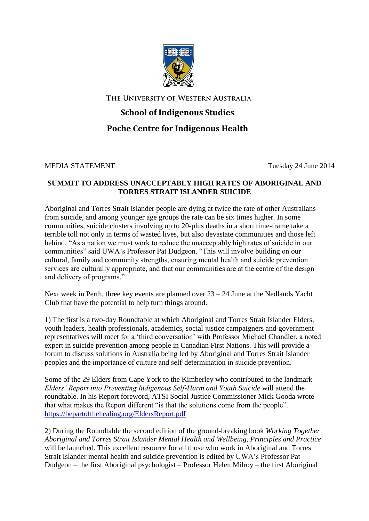

THE UNIVERSITY OF WESTERN AUSTRALIA

## **School of Indigenous Studies Poche Centre for Indigenous Health**

MEDIA STATEMENT Tuesday 24 June 2014

## **SUMMIT TO ADDRESS UNACCEPTABLY HIGH RATES OF ABORIGINAL AND TORRES STRAIT ISLANDER SUICIDE**

Aboriginal and Torres Strait Islander people are dying at twice the rate of other Australians from suicide, and among younger age groups the rate can be six times higher. In some communities, suicide clusters involving up to 20-plus deaths in a short time-frame take a terrible toll not only in terms of wasted lives, but also devastate communities and those left behind. "As a nation we must work to reduce the unacceptably high rates of suicide in our communities" said UWA's Professor Pat Dudgeon. "This will involve building on our cultural, family and community strengths, ensuring mental health and suicide prevention services are culturally appropriate, and that our communities are at the centre of the design and delivery of programs."

Next week in Perth, three key events are planned over 23 – 24 June at the Nedlands Yacht Club that have the potential to help turn things around.

1) The first is a two-day Roundtable at which Aboriginal and Torres Strait Islander Elders, youth leaders, health professionals, academics, social justice campaigners and government representatives will meet for a 'third conversation' with Professor Michael Chandler, a noted expert in suicide prevention among people in Canadian First Nations. This will provide a forum to discuss solutions in Australia being led by Aboriginal and Torres Strait Islander peoples and the importance of culture and self-determination in suicide prevention.

Some of the 29 Elders from Cape York to the Kimberley who contributed to the landmark *Elders' Report into Preventing Indigenous Self-Harm and Youth Suicide* will attend the roundtable. In his Report foreword, ATSI Social Justice Commissioner Mick Gooda wrote that what makes the Report different "is that the solutions come from the people". <https://bepartofthehealing.org/EldersReport.pdf>

2) During the Roundtable the second edition of the ground-breaking book *Working Together Aboriginal and Torres Strait Islander Mental Health and Wellbeing, Principles and Practice* will be launched. This excellent resource for all those who work in Aboriginal and Torres Strait Islander mental health and suicide prevention is edited by UWA's Professor Pat Dudgeon – the first Aboriginal psychologist – Professor Helen Milroy – the first Aboriginal